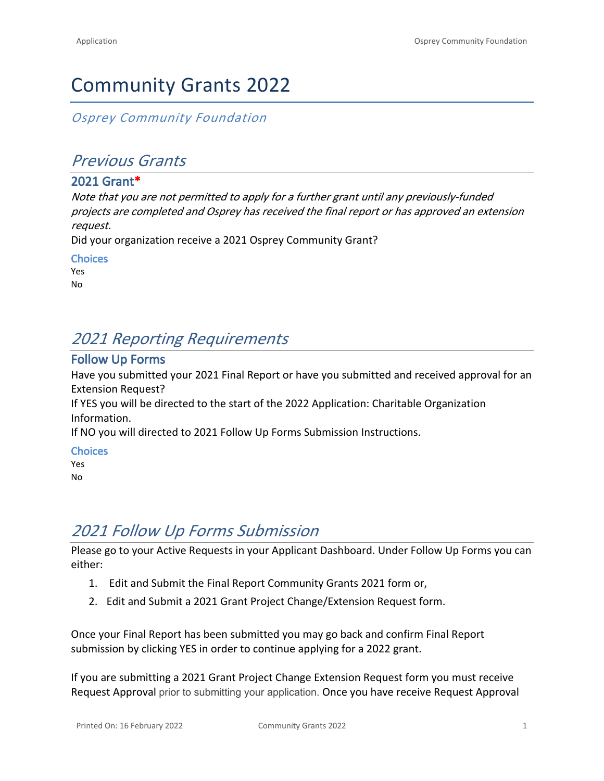# Community Grants 2022

*Osprey Community Foundation*

### *Previous Grants*

#### **2021 Grant\***

*Note that you are not permitted to apply for a further grant until any previously-funded projects are completed and Osprey has received the final report or has approved an extension request.*

Did your organization receive a 2021 Osprey Community Grant?

**Choices**

Yes No

## *2021 Reporting Requirements*

#### **Follow Up Forms**

Have you submitted your 2021 Final Report or have you submitted and received approval for an Extension Request?

If YES you will be directed to the start of the 2022 Application: Charitable Organization Information.

If NO you will directed to 2021 Follow Up Forms Submission Instructions.

**Choices**

Yes No

# *2021 Follow Up Forms Submission*

Please go to your Active Requests in your Applicant Dashboard. Under Follow Up Forms you can either:

- 1. Edit and Submit the Final Report Community Grants 2021 form or,
- 2. Edit and Submit a 2021 Grant Project Change/Extension Request form.

Once your Final Report has been submitted you may go back and confirm Final Report submission by clicking YES in order to continue applying for a 2022 grant.

If you are submitting a 2021 Grant Project Change Extension Request form you must receive Request Approval prior to submitting your application. Once you have receive Request Approval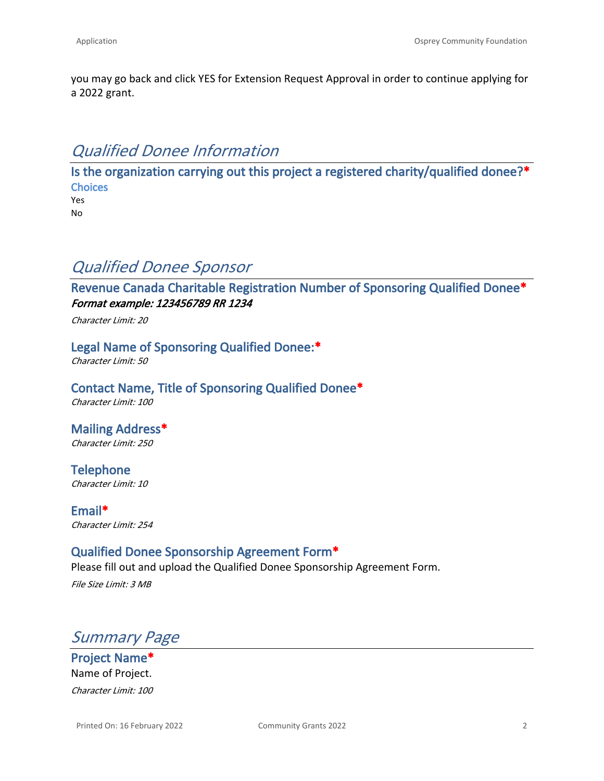you may go back and click YES for Extension Request Approval in order to continue applying for a 2022 grant.

### *Qualified Donee Information*

**Is the organization carrying out this project a registered charity/qualified donee?\* Choices** Yes

No

### *Qualified Donee Sponsor*

**Revenue Canada Charitable Registration Number of Sponsoring Qualified Donee\*** *Format example: 123456789 RR 1234*

*Character Limit: 20*

**Legal Name of Sponsoring Qualified Donee:\***

*Character Limit: 50*

**Contact Name, Title of Sponsoring Qualified Donee\*** *Character Limit: 100*

**Mailing Address\*** *Character Limit: 250*

**Telephone** *Character Limit: 10*

**Email\*** *Character Limit: 254*

### **Qualified Donee Sponsorship Agreement Form\***

Please fill out and upload the [Qualified Donee Sponsorship Agreement Form.](https://ospreycommunityfoundation.ca/wp-content/uploads/2021/11/Qualified-Donee-Sponsorship-template.doc) *File Size Limit: 3 MB*

*Summary Page*

**Project Name\*** Name of Project. *Character Limit: 100*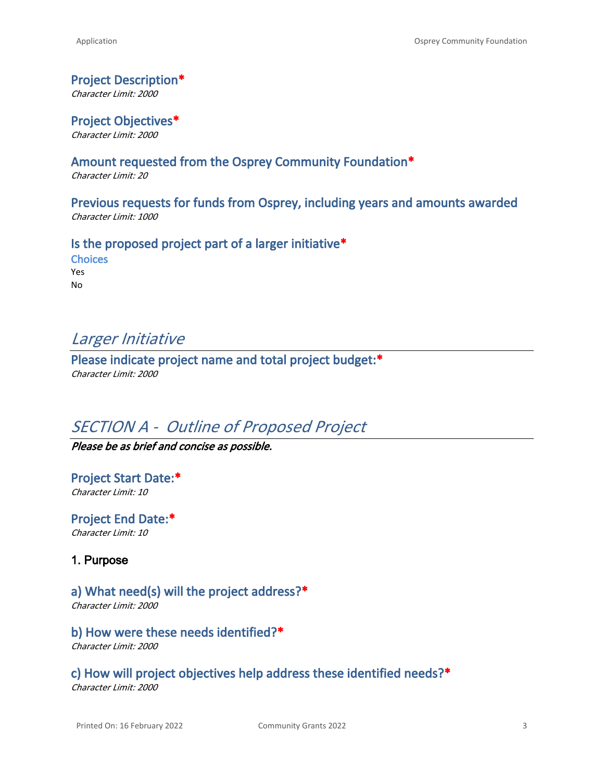#### **Project Description\***

*Character Limit: 2000*

**Project Objectives\*** *Character Limit: 2000*

#### **Amount requested from the Osprey Community Foundation\***

*Character Limit: 20*

**Previous requests for funds from Osprey, including years and amounts awarded** *Character Limit: 1000*

#### **Is the proposed project part of a larger initiative\***

**Choices** Yes No

### *Larger Initiative*

**Please indicate project name and total project budget:\*** *Character Limit: 2000*

### *SECTION A - Outline of Proposed Project*

*Please be as brief and concise as possible.*

**Project Start Date:\*** *Character Limit: 10*

**Project End Date:\*** *Character Limit: 10*

**1. Purpose**

#### **a) What need(s) will the project address?\***

*Character Limit: 2000*

**b) How were these needs identified?\***

*Character Limit: 2000*

### **c) How will project objectives help address these identified needs?\***

*Character Limit: 2000*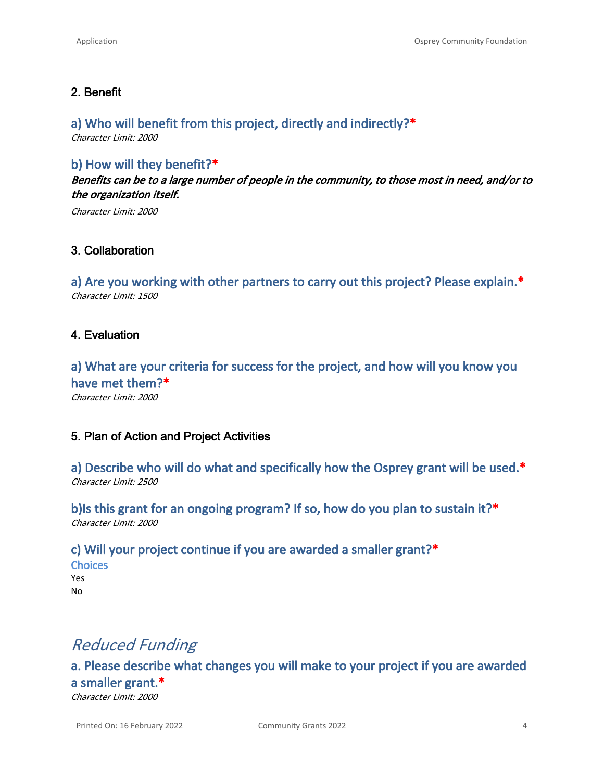#### **2. Benefit**

#### **a) Who will benefit from this project, directly and indirectly?\***

*Character Limit: 2000*

#### **b) How will they benefit?\***

*Benefits can be to a large number of people in the community, to those most in need, and/or to the organization itself.*

*Character Limit: 2000*

#### **3. Collaboration**

**a) Are you working with other partners to carry out this project? Please explain.\*** *Character Limit: 1500*

#### **4. Evaluation**

**a) What are your criteria for success for the project, and how will you know you have met them?\***

*Character Limit: 2000*

#### **5. Plan of Action and Project Activities**

**a) Describe who will do what and specifically how the Osprey grant will be used.\*** *Character Limit: 2500*

**b)Is this grant for an ongoing program? If so, how do you plan to sustain it?\*** *Character Limit: 2000*

**c) Will your project continue if you are awarded a smaller grant?\* Choices** Yes No

### *Reduced Funding*

**a. Please describe what changes you will make to your project if you are awarded a smaller grant.\*** *Character Limit: 2000*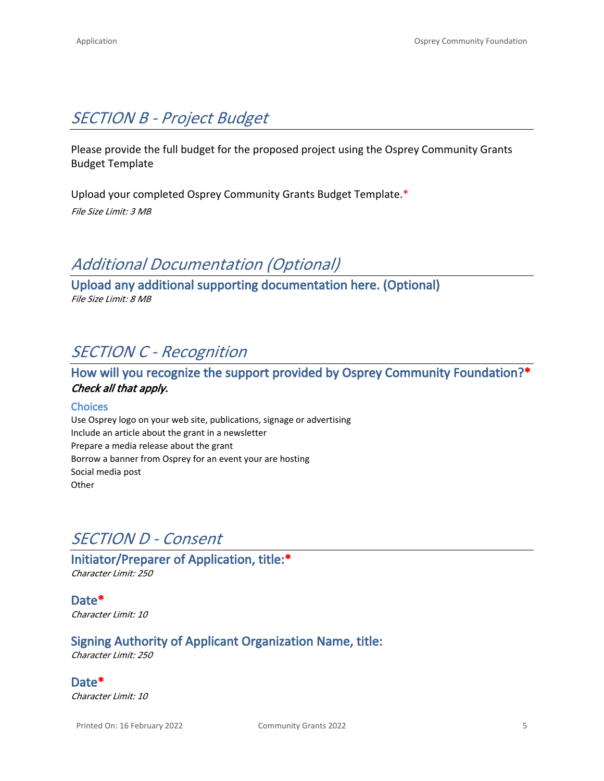# *SECTION B - Project Budget*

Please provide the full budget for the proposed project using the [Osprey Community Grants](https://ospreycommunityfoundation.ca/wp-content/uploads/2022/01/Osprey-Grants-Budget-2022.xlsx)  [Budget Template](https://ospreycommunityfoundation.ca/wp-content/uploads/2022/01/Osprey-Grants-Budget-2022.xlsx)

Upload your completed Osprey Community Grants Budget Template.\* *File Size Limit: 3 MB*

# *Additional Documentation (Optional)*

**Upload any additional supporting documentation here. (Optional)** *File Size Limit: 8 MB*

# *SECTION C - Recognition*

### **How will you recognize the support provided by Osprey Community Foundation?\*** *Check all that apply.*

#### **Choices**

Use Osprey logo on your web site, publications, signage or advertising Include an article about the grant in a newsletter Prepare a media release about the grant Borrow a banner from Osprey for an event your are hosting Social media post **Other** 

## *SECTION D - Consent*

**Initiator/Preparer of Application, title:\*** *Character Limit: 250*

**Date\*** *Character Limit: 10*

### **Signing Authority of Applicant Organization Name, title:**

*Character Limit: 250*

**Date\*** *Character Limit: 10*

Printed On: 16 February 2022 Community Grants 2022 5